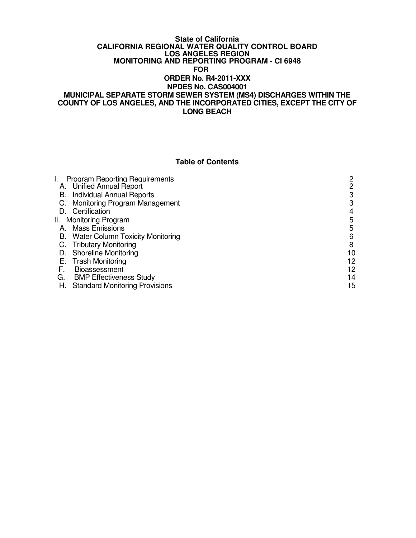#### **State of California CALIFORNIA REGIONAL WATER QUALITY CONTROL BOARD LOS ANGELES REGION MONITORING AND REPORTING PROGRAM - CI 6948 FOR ORDER No. R4-2011-XXX NPDES No. CAS004001 MUNICIPAL SEPARATE STORM SEWER SYSTEM (MS4) DISCHARGES WITHIN THE COUNTY OF LOS ANGELES, AND THE INCORPORATED CITIES, EXCEPT THE CITY OF LONG BEACH**

### **Table of Contents**

|    | <b>Program Reporting Requirements</b><br>A. Unified Annual Report | 2<br>2 |
|----|-------------------------------------------------------------------|--------|
|    | <b>B.</b> Individual Annual Reports                               | 3      |
|    | C. Monitoring Program Management                                  | 3      |
|    | D. Certification                                                  | 4      |
|    | II. Monitoring Program                                            | 5      |
|    | A. Mass Emissions                                                 | 5      |
|    | B. Water Column Toxicity Monitoring                               | 6      |
|    | C. Tributary Monitoring                                           | 8      |
|    | D. Shoreline Monitoring                                           | 10     |
|    | E. Trash Monitoring                                               | 12     |
| F. | <b>Bioassessment</b>                                              | 12     |
| G. | <b>BMP Effectiveness Study</b>                                    | 14     |
| Н. | <b>Standard Monitoring Provisions</b>                             | 15     |
|    |                                                                   |        |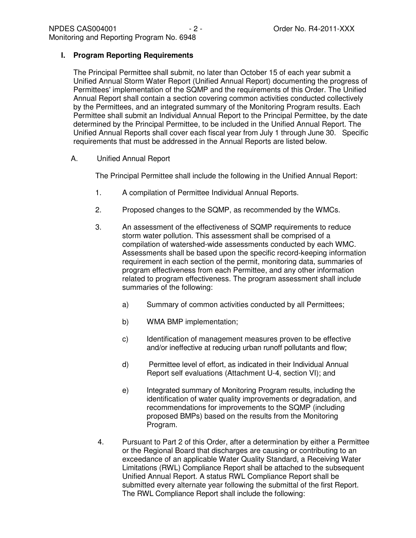### **I. Program Reporting Requirements**

The Principal Permittee shall submit, no later than October 15 of each year submit a Unified Annual Storm Water Report (Unified Annual Report) documenting the progress of Permittees' implementation of the SQMP and the requirements of this Order. The Unified Annual Report shall contain a section covering common activities conducted collectively by the Permittees, and an integrated summary of the Monitoring Program results. Each Permittee shall submit an Individual Annual Report to the Principal Permittee, by the date determined by the Principal Permittee, to be included in the Unified Annual Report. The Unified Annual Reports shall cover each fiscal year from July 1 through June 30. Specific requirements that must be addressed in the Annual Reports are listed below.

A. Unified Annual Report

The Principal Permittee shall include the following in the Unified Annual Report:

- 1. A compilation of Permittee Individual Annual Reports.
- 2. Proposed changes to the SQMP, as recommended by the WMCs.
- 3. An assessment of the effectiveness of SQMP requirements to reduce storm water pollution. This assessment shall be comprised of a compilation of watershed-wide assessments conducted by each WMC. Assessments shall be based upon the specific record-keeping information requirement in each section of the permit, monitoring data, summaries of program effectiveness from each Permittee, and any other information related to program effectiveness. The program assessment shall include summaries of the following:
	- a) Summary of common activities conducted by all Permittees;
	- b) WMA BMP implementation;
	- c) Identification of management measures proven to be effective and/or ineffective at reducing urban runoff pollutants and flow;
	- d) Permittee level of effort, as indicated in their Individual Annual Report self evaluations (Attachment U-4, section VI); and
	- e) Integrated summary of Monitoring Program results, including the identification of water quality improvements or degradation, and recommendations for improvements to the SQMP (including proposed BMPs) based on the results from the Monitoring Program.
- 4. Pursuant to Part 2 of this Order, after a determination by either a Permittee or the Regional Board that discharges are causing or contributing to an exceedance of an applicable Water Quality Standard, a Receiving Water Limitations (RWL) Compliance Report shall be attached to the subsequent Unified Annual Report. A status RWL Compliance Report shall be submitted every alternate year following the submittal of the first Report. The RWL Compliance Report shall include the following: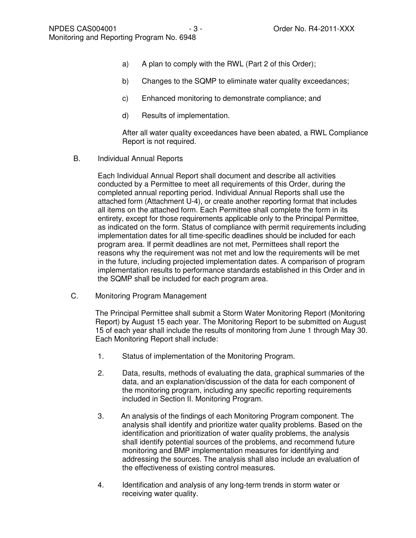- a) A plan to comply with the RWL (Part 2 of this Order);
- b) Changes to the SQMP to eliminate water quality exceedances;
- c) Enhanced monitoring to demonstrate compliance; and
- d) Results of implementation.

After all water quality exceedances have been abated, a RWL Compliance Report is not required.

B. Individual Annual Reports

Each Individual Annual Report shall document and describe all activities conducted by a Permittee to meet all requirements of this Order, during the completed annual reporting period. Individual Annual Reports shall use the attached form (Attachment U-4), or create another reporting format that includes all items on the attached form. Each Permittee shall complete the form in its entirety, except for those requirements applicable only to the Principal Permittee, as indicated on the form. Status of compliance with permit requirements including implementation dates for all time-specific deadlines should be included for each program area. If permit deadlines are not met, Permittees shall report the reasons why the requirement was not met and low the requirements will be met in the future, including projected implementation dates. A comparison of program implementation results to performance standards established in this Order and in the SQMP shall be included for each program area.

C. Monitoring Program Management

The Principal Permittee shall submit a Storm Water Monitoring Report (Monitoring Report) by August 15 each year. The Monitoring Report to be submitted on August 15 of each year shall include the results of monitoring from June 1 through May 30. Each Monitoring Report shall include:

- 1. Status of implementation of the Monitoring Program.
- 2. Data, results, methods of evaluating the data, graphical summaries of the data, and an explanation/discussion of the data for each component of the monitoring program, including any specific reporting requirements included in Section II. Monitoring Program.
- 3. An analysis of the findings of each Monitoring Program component. The analysis shall identify and prioritize water quality problems. Based on the identification and prioritization of water quality problems, the analysis shall identify potential sources of the problems, and recommend future monitoring and BMP implementation measures for identifying and addressing the sources. The analysis shall also include an evaluation of the effectiveness of existing control measures.
- 4. Identification and analysis of any long-term trends in storm water or receiving water quality.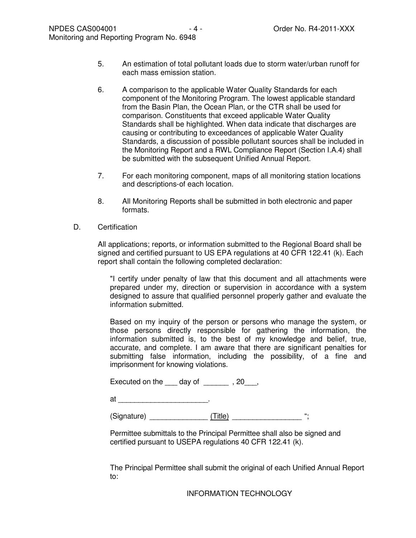- 5. An estimation of total pollutant loads due to storm water/urban runoff for each mass emission station.
- 6. A comparison to the applicable Water Quality Standards for each component of the Monitoring Program. The lowest applicable standard from the Basin Plan, the Ocean Plan, or the CTR shall be used for comparison. Constituents that exceed applicable Water Quality Standards shall be highlighted. When data indicate that discharges are causing or contributing to exceedances of applicable Water Quality Standards, a discussion of possible pollutant sources shall be included in the Monitoring Report and a RWL Compliance Report (Section I.A.4) shall be submitted with the subsequent Unified Annual Report.
- 7. For each monitoring component, maps of all monitoring station locations and descriptions-of each location.
- 8. All Monitoring Reports shall be submitted in both electronic and paper formats.
- D. Certification

All applications; reports, or information submitted to the Regional Board shall be signed and certified pursuant to US EPA regulations at 40 CFR 122.41 (k). Each report shall contain the following completed declaration:

"I certify under penalty of law that this document and all attachments were prepared under my, direction or supervision in accordance with a system designed to assure that qualified personnel properly gather and evaluate the information submitted.

Based on my inquiry of the person or persons who manage the system, or those persons directly responsible for gathering the information, the information submitted is, to the best of my knowledge and belief, true, accurate, and complete. I am aware that there are significant penalties for submitting false information, including the possibility, of a fine and imprisonment for knowing violations.

Executed on the  $\_\_\_$  day of  $\_\_\_\_\_$ , 20 $\_\_\_\,$ 

 $at$   $\qquad \qquad \qquad \qquad \qquad .$ 

(Signature) \_\_\_\_\_\_\_\_\_\_\_\_\_\_\_\_\_ (Title) \_\_\_\_\_\_\_\_\_\_\_\_\_\_\_\_\_\_\_\_ ";

Permittee submittals to the Principal Permittee shall also be signed and certified pursuant to USEPA regulations 40 CFR 122.41 (k).

The Principal Permittee shall submit the original of each Unified Annual Report to:

INFORMATION TECHNOLOGY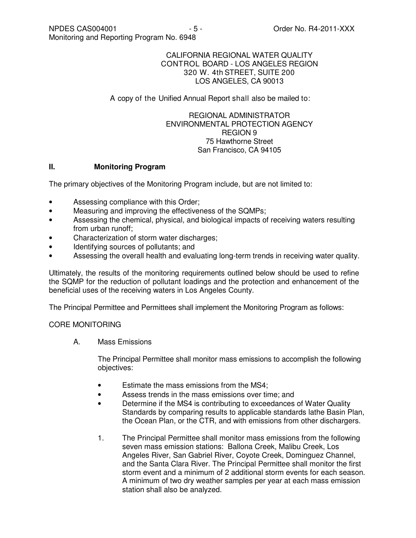#### CALIFORNIA REGIONAL WATER QUALITY CONTROL BOARD - LOS ANGELES REGION 320 W. 4th STREET, SUITE 200 LOS ANGELES, CA 90013

### A copy of the Unified Annual Report shall also be mailed to:

### REGIONAL ADMINISTRATOR ENVIRONMENTAL PROTECTION AGENCY REGION 9 75 Hawthorne Street San Francisco, CA 94105

### **II. Monitoring Program**

The primary objectives of the Monitoring Program include, but are not limited to:

- Assessing compliance with this Order;
- Measuring and improving the effectiveness of the SQMPs;
- Assessing the chemical, physical, and biological impacts of receiving waters resulting from urban runoff;
- Characterization of storm water discharges;
- Identifying sources of pollutants; and
- Assessing the overall health and evaluating long-term trends in receiving water quality.

Ultimately, the results of the monitoring requirements outlined below should be used to refine the SQMP for the reduction of pollutant loadings and the protection and enhancement of the beneficial uses of the receiving waters in Los Angeles County.

The Principal Permittee and Permittees shall implement the Monitoring Program as follows:

# CORE MONITORING

A. Mass Emissions

The Principal Permittee shall monitor mass emissions to accomplish the following objectives:

- Estimate the mass emissions from the MS4;
- Assess trends in the mass emissions over time; and
- Determine if the MS4 is contributing to exceedances of Water Quality Standards by comparing results to applicable standards lathe Basin Plan, the Ocean Plan, or the CTR, and with emissions from other dischargers.
- 1. The Principal Permittee shall monitor mass emissions from the following seven mass emission stations: Ballona Creek, Malibu Creek, Los Angeles River, San Gabriel River, Coyote Creek, Dominguez Channel, and the Santa Clara River. The Principal Permittee shall monitor the first storm event and a minimum of 2 additional storm events for each season. A minimum of two dry weather samples per year at each mass emission station shall also be analyzed.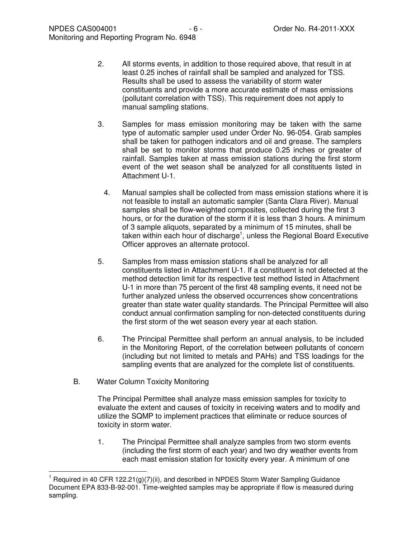- 2. All storms events, in addition to those required above, that result in at least 0.25 inches of rainfall shall be sampled and analyzed for TSS. Results shall be used to assess the variability of storm water constituents and provide a more accurate estimate of mass emissions (pollutant correlation with TSS). This requirement does not apply to manual sampling stations.
- 3. Samples for mass emission monitoring may be taken with the same type of automatic sampler used under Order No. 96-054. Grab samples shall be taken for pathogen indicators and oil and grease. The samplers shall be set to monitor storms that produce 0.25 inches or greater of rainfall. Samples taken at mass emission stations during the first storm event of the wet season shall be analyzed for all constituents listed in Attachment U-1.
	- 4. Manual samples shall be collected from mass emission stations where it is not feasible to install an automatic sampler (Santa Clara River). Manual samples shall be flow-weighted composites, collected during the first 3 hours, or for the duration of the storm if it is less than 3 hours. A minimum of 3 sample aliquots, separated by a minimum of 15 minutes, shall be taken within each hour of discharge<sup>1</sup>, unless the Regional Board Executive Officer approves an alternate protocol.
- 5. Samples from mass emission stations shall be analyzed for all constituents listed in Attachment U-1. If a constituent is not detected at the method detection limit for its respective test method listed in Attachment U-1 in more than 75 percent of the first 48 sampling events, it need not be further analyzed unless the observed occurrences show concentrations greater than state water quality standards. The Principal Permittee will also conduct annual confirmation sampling for non-detected constituents during the first storm of the wet season every year at each station.
- 6. The Principal Permittee shall perform an annual analysis, to be included in the Monitoring Report, of the correlation between pollutants of concern (including but not limited to metals and PAHs) and TSS loadings for the sampling events that are analyzed for the complete list of constituents.
- B. Water Column Toxicity Monitoring

 $\overline{a}$ 

The Principal Permittee shall analyze mass emission samples for toxicity to evaluate the extent and causes of toxicity in receiving waters and to modify and utilize the SQMP to implement practices that eliminate or reduce sources of toxicity in storm water.

1. The Principal Permittee shall analyze samples from two storm events (including the first storm of each year) and two dry weather events from each mast emission station for toxicity every year. A minimum of one

<sup>&</sup>lt;sup>1</sup> Required in 40 CFR 122.21(g)(7)(ii), and described in NPDES Storm Water Sampling Guidance Document EPA 833-B-92-001. Time-weighted samples may be appropriate if flow is measured during sampling.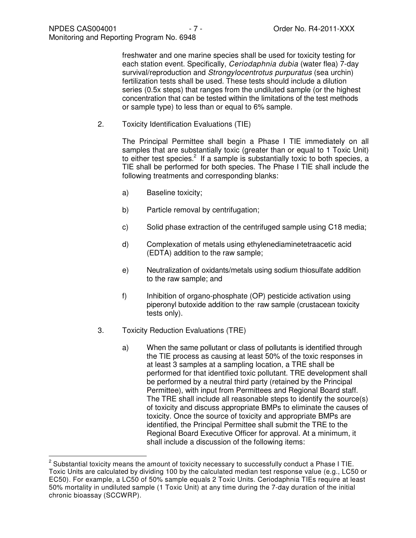freshwater and one marine species shall be used for toxicity testing for each station event. Specifically, Ceriodaphnia dubia (water flea) 7-day survival/reproduction and Strongylocentrotus purpuratus (sea urchin) fertilization tests shall be used. These tests should include a dilution series (0.5x steps) that ranges from the undiluted sample (or the highest concentration that can be tested within the limitations of the test methods or sample type) to less than or equal to 6% sample.

2. Toxicity Identification Evaluations (TIE)

The Principal Permittee shall begin a Phase I TIE immediately on all samples that are substantially toxic (greater than or equal to 1 Toxic Unit) to either test species.<sup>2</sup> If a sample is substantially toxic to both species, a TIE shall be performed for both species. The Phase I TIE shall include the following treatments and corresponding blanks:

- a) Baseline toxicity;
- b) Particle removal by centrifugation;
- c) Solid phase extraction of the centrifuged sample using C18 media;
- d) Complexation of metals using ethylenediaminetetraacetic acid (EDTA) addition to the raw sample;
- e) Neutralization of oxidants/metals using sodium thiosulfate addition to the raw sample; and
- f) Inhibition of organo-phosphate (OP) pesticide activation using piperonyl butoxide addition to the raw sample (crustacean toxicity tests only).
- 3. Toxicity Reduction Evaluations (TRE)

 $\overline{a}$ 

a) When the same pollutant or class of pollutants is identified through the TIE process as causing at least 50% of the toxic responses in at least 3 samples at a sampling location, a TRE shall be performed for that identified toxic pollutant. TRE development shall be performed by a neutral third party (retained by the Principal Permittee), with input from Permittees and Regional Board staff. The TRE shall include all reasonable steps to identify the source(s) of toxicity and discuss appropriate BMPs to eliminate the causes of toxicity. Once the source of toxicity and appropriate BMPs are identified, the Principal Permittee shall submit the TRE to the Regional Board Executive Officer for approval. At a minimum, it shall include a discussion of the following items:

 $2$  Substantial toxicity means the amount of toxicity necessary to successfully conduct a Phase I TIE. Toxic Units are calculated by dividing 100 by the calculated median test response value (e.g., LC50 or EC50). For example, a LC50 of 50% sample equals 2 Toxic Units. Ceriodaphnia TIEs require at least 50% mortality in undiluted sample (1 Toxic Unit) at any time during the 7-day duration of the initial chronic bioassay (SCCWRP).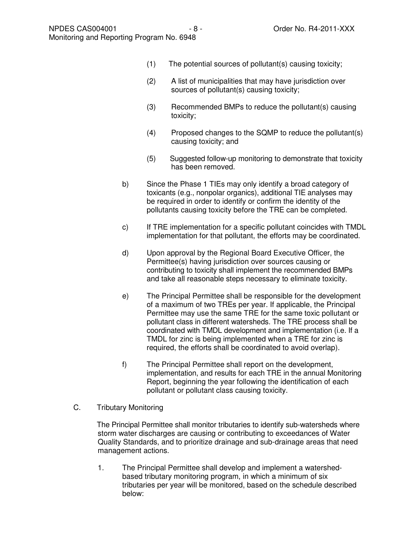- (1) The potential sources of pollutant(s) causing toxicity;
- (2) A list of municipalities that may have jurisdiction over sources of pollutant(s) causing toxicity;
- (3) Recommended BMPs to reduce the pollutant(s) causing toxicity;
- (4) Proposed changes to the SQMP to reduce the pollutant(s) causing toxicity; and
- (5) Suggested follow-up monitoring to demonstrate that toxicity has been removed.
- b) Since the Phase 1 TIEs may only identify a broad category of toxicants (e.g., nonpolar organics), additional TIE analyses may be required in order to identify or confirm the identity of the pollutants causing toxicity before the TRE can be completed.
- c) If TRE implementation for a specific pollutant coincides with TMDL implementation for that pollutant, the efforts may be coordinated.
- d) Upon approval by the Regional Board Executive Officer, the Permittee(s) having jurisdiction over sources causing or contributing to toxicity shall implement the recommended BMPs and take all reasonable steps necessary to eliminate toxicity.
- e) The Principal Permittee shall be responsible for the development of a maximum of two TREs per year. If applicable, the Principal Permittee may use the same TRE for the same toxic pollutant or pollutant class in different watersheds. The TRE process shall be coordinated with TMDL development and implementation (i.e. If a TMDL for zinc is being implemented when a TRE for zinc is required, the efforts shall be coordinated to avoid overlap).
- f) The Principal Permittee shall report on the development, implementation, and results for each TRE in the annual Monitoring Report, beginning the year following the identification of each pollutant or pollutant class causing toxicity.
- C. Tributary Monitoring

 The Principal Permittee shall monitor tributaries to identify sub-watersheds where storm water discharges are causing or contributing to exceedances of Water Quality Standards, and to prioritize drainage and sub-drainage areas that need management actions.

1. The Principal Permittee shall develop and implement a watershedbased tributary monitoring program, in which a minimum of six tributaries per year will be monitored, based on the schedule described below: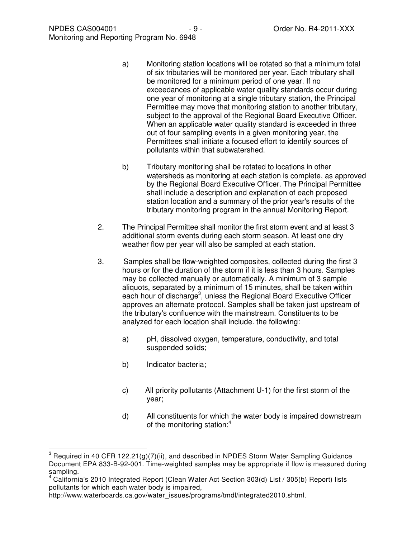- a) Monitoring station locations will be rotated so that a minimum total of six tributaries will be monitored per year. Each tributary shall be monitored for a minimum period of one year. If no exceedances of applicable water quality standards occur during one year of monitoring at a single tributary station, the Principal Permittee may move that monitoring station to another tributary, subject to the approval of the Regional Board Executive Officer. When an applicable water quality standard is exceeded in three out of four sampling events in a given monitoring year, the Permittees shall initiate a focused effort to identify sources of pollutants within that subwatershed.
- b) Tributary monitoring shall be rotated to locations in other watersheds as monitoring at each station is complete, as approved by the Regional Board Executive Officer. The Principal Permittee shall include a description and explanation of each proposed station location and a summary of the prior year's results of the tributary monitoring program in the annual Monitoring Report.
- 2. The Principal Permittee shall monitor the first storm event and at least 3 additional storm events during each storm season. At least one dry weather flow per year will also be sampled at each station.
- 3. Samples shall be flow-weighted composites, collected during the first 3 hours or for the duration of the storm if it is less than 3 hours. Samples may be collected manually or automatically. A minimum of 3 sample aliquots, separated by a minimum of 15 minutes, shall be taken within each hour of discharge<sup>3</sup>, unless the Regional Board Executive Officer approves an alternate protocol. Samples shall be taken just upstream of the tributary's confluence with the mainstream. Constituents to be analyzed for each location shall include. the following:
	- a) pH, dissolved oxygen, temperature, conductivity, and total suspended solids;
	- b) Indicator bacteria;

 $\overline{a}$ 

- c) All priority pollutants (Attachment U-1) for the first storm of the year;
- d) All constituents for which the water body is impaired downstream of the monitoring station;<sup>4</sup>

<sup>&</sup>lt;sup>3</sup> Required in 40 CFR 122.21(g)(7)(ii), and described in NPDES Storm Water Sampling Guidance Document EPA 833-B-92-001. Time-weighted samples may be appropriate if flow is measured during sampling.

<sup>&</sup>lt;sup>4</sup> California's 2010 Integrated Report (Clean Water Act Section 303(d) List / 305(b) Report) lists pollutants for which each water body is impaired,

http://www.waterboards.ca.gov/water\_issues/programs/tmdl/integrated2010.shtml.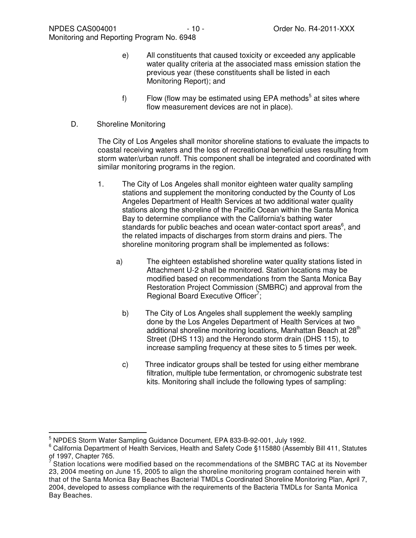- e) All constituents that caused toxicity or exceeded any applicable water quality criteria at the associated mass emission station the previous year (these constituents shall be listed in each Monitoring Report); and
- f) Flow (flow may be estimated using EPA methods<sup>5</sup> at sites where flow measurement devices are not in place).
- D. Shoreline Monitoring

The City of Los Angeles shall monitor shoreline stations to evaluate the impacts to coastal receiving waters and the loss of recreational beneficial uses resulting from storm water/urban runoff. This component shall be integrated and coordinated with similar monitoring programs in the region.

- 1. The City of Los Angeles shall monitor eighteen water quality sampling stations and supplement the monitoring conducted by the County of Los Angeles Department of Health Services at two additional water quality stations along the shoreline of the Pacific Ocean within the Santa Monica Bay to determine compliance with the California's bathing water standards for public beaches and ocean water-contact sport areas<sup>6</sup>, and the related impacts of discharges from storm drains and piers. The shoreline monitoring program shall be implemented as follows:
	- a) The eighteen established shoreline water quality stations listed in Attachment U-2 shall be monitored. Station locations may be modified based on recommendations from the Santa Monica Bay Restoration Project Commission (SMBRC) and approval from the Regional Board Executive Officer<sup>7</sup>;
		- b) The City of Los Angeles shall supplement the weekly sampling done by the Los Angeles Department of Health Services at two additional shoreline monitoring locations, Manhattan Beach at 28<sup>th</sup> Street (DHS 113) and the Herondo storm drain (DHS 115), to increase sampling frequency at these sites to 5 times per week.
		- c) Three indicator groups shall be tested for using either membrane filtration, multiple tube fermentation, or chromogenic substrate test kits. Monitoring shall include the following types of sampling:

 $\overline{a}$ 

<sup>5</sup> NPDES Storm Water Sampling Guidance Document, EPA 833-B-92-001, July 1992.

<sup>6</sup> California Department of Health Services, Health and Safety Code §115880 (Assembly Bill 411, Statutes of 1997, Chapter 765.<br><sup>7</sup> Stetien locations we

Station locations were modified based on the recommendations of the SMBRC TAC at its November 23, 2004 meeting on June 15, 2005 to align the shoreline monitoring program contained herein with that of the Santa Monica Bay Beaches Bacterial TMDLs Coordinated Shoreline Monitoring Plan, April 7, 2004, developed to assess compliance with the requirements of the Bacteria TMDLs for Santa Monica Bay Beaches.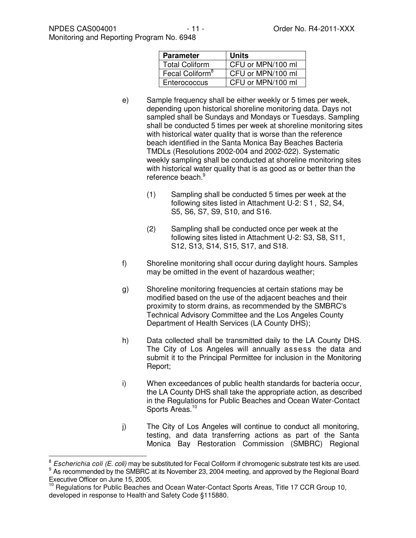| <b>Parameter</b>            | Units             |  |
|-----------------------------|-------------------|--|
| <b>Total Coliform</b>       | CFU or MPN/100 ml |  |
| Fecal Coliform <sup>8</sup> | CFU or MPN/100 ml |  |
| Enterococcus                | CFU or MPN/100 ml |  |

- e) Sample frequency shall be either weekly or 5 times per week, depending upon historical shoreline monitoring data. Days not sampled shall be Sundays and Mondays or Tuesdays. Sampling shall be conducted 5 times per week at shoreline monitoring sites with historical water quality that is worse than the reference beach identified in the Santa Monica Bay Beaches Bacteria TMDLs (Resolutions 2002-004 and 2002-022). Systematic weekly sampling shall be conducted at shoreline monitoring sites with historical water quality that is as good as or better than the reference beach.<sup>9</sup>
	- (1) Sampling shall be conducted 5 times per week at the following sites listed in Attachment U-2: S1 , S2, S4, S5, S6, S7, S9, S10, and S16.
	- (2) Sampling shall be conducted once per week at the following sites listed in Attachment U-2: S3, S8, S11, S12, S13, S14, S15, S17, and S18.
- f) Shoreline monitoring shall occur during daylight hours. Samples may be omitted in the event of hazardous weather;
- g) Shoreline monitoring frequencies at certain stations may be modified based on the use of the adjacent beaches and their proximity to storm drains, as recommended by the SMBRC's Technical Advisory Committee and the Los Angeles County Department of Health Services (LA County DHS);
- h) Data collected shall be transmitted daily to the LA County DHS. The City of Los Angeles will annually assess the data and submit it to the Principal Permittee for inclusion in the Monitoring Report;
- i) When exceedances of public health standards for bacteria occur, the LA County DHS shall take the appropriate action, as described in the Regulations for Public Beaches and Ocean Water-Contact Sports Areas.<sup>10</sup>
- j) The City of Los Angeles will continue to conduct all monitoring, testing, and data transferring actions as part of the Santa Monica Bay Restoration Commission (SMBRC) Regional

 $\overline{a}$ 

<sup>8</sup> Escherichia coli (E. coli) may be substituted for Fecal Coliform if chromogenic substrate test kits are used. <sup>9</sup> As recommended by the SMBRC at its November 23, 2004 meeting, and approved by the Regional Board Executive Officer on June 15, 2005.

<sup>10</sup> Regulations for Public Beaches and Ocean Water-Contact Sports Areas, Title 17 CCR Group 10, developed in response to Health-and Safety Code §115880.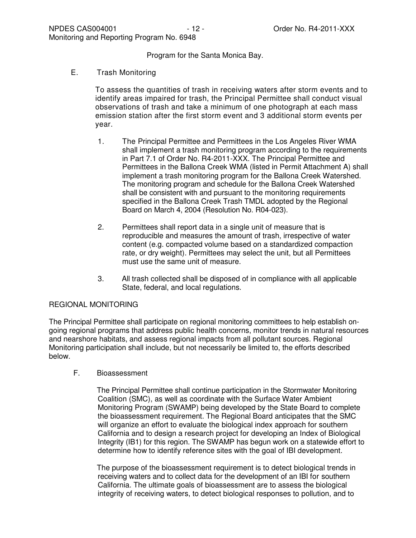Program for the Santa Monica Bay.

E. Trash Monitoring

To assess the quantities of trash in receiving waters after storm events and to identify areas impaired for trash, the Principal Permittee shall conduct visual observations of trash and take a minimum of one photograph at each mass emission station after the first storm event and 3 additional storm events per year.

- 1. The Principal Permittee and Permittees in the Los Angeles River WMA shall implement a trash monitoring program according to the requirements in Part 7.1 of Order No. R4-2011-XXX. The Principal Permittee and Permittees in the Ballona Creek WMA (listed in Permit Attachment A) shall implement a trash monitoring program for the Ballona Creek Watershed. The monitoring program and schedule for the Ballona Creek Watershed shall be consistent with and pursuant to the monitoring requirements specified in the Ballona Creek Trash TMDL adopted by the Regional Board on March 4, 2004 (Resolution No. R04-023).
- 2. Permittees shall report data in a single unit of measure that is reproducible and measures the amount of trash, irrespective of water content (e.g. compacted volume based on a standardized compaction rate, or dry weight). Permittees may select the unit, but all Permittees must use the same unit of measure.
- 3. All trash collected shall be disposed of in compliance with all applicable State, federal, and local regulations.

# REGIONAL MONITORING

The Principal Permittee shall participate on regional monitoring committees to help establish ongoing regional programs that address public health concerns, monitor trends in natural resources and nearshore habitats, and assess regional impacts from all pollutant sources. Regional Monitoring participation shall include, but not necessarily be limited to, the efforts described below.

# F. Bioassessment

 The Principal Permittee shall continue participation in the Stormwater Monitoring Coalition (SMC), as well as coordinate with the Surface Water Ambient Monitoring Program (SWAMP) being developed by the State Board to complete the bioassessment requirement. The Regional Board anticipates that the SMC will organize an effort to evaluate the biological index approach for southern California and to design a research project for developing an Index of Biological Integrity (IB1) for this region. The SWAMP has begun work on a statewide effort to determine how to identify reference sites with the goal of IBI development.

 The purpose of the bioassessment requirement is to detect biological trends in receiving waters and to collect data for the development of an IBI for southern California. The ultimate goals of bioassessment are to assess the biological integrity of receiving waters, to detect biological responses to pollution, and to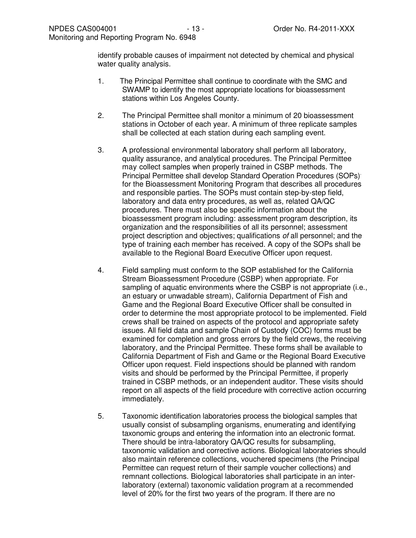identify probable causes of impairment not detected by chemical and physical water quality analysis.

- 1. The Principal Permittee shall continue to coordinate with the SMC and SWAMP to identify the most appropriate locations for bioassessment stations within Los Angeles County.
- 2. The Principal Permittee shall monitor a minimum of 20 bioassessment stations in October of each year. A minimum of three replicate samples shall be collected at each station during each sampling event.
- 3. A professional environmental laboratory shall perform all laboratory, quality assurance, and analytical procedures. The Principal Permittee may collect samples when properly trained in CSBP methods. The Principal Permittee shall develop Standard Operation Procedures (SOPs). for the Bioassessment Monitoring Program that describes all procedures and responsible parties. The SOPs must contain step-by-step field, laboratory and data entry procedures, as well as, related QA/QC procedures. There must also be specific information about the bioassessment program including: assessment program description, its organization and the responsibilities of all its personnel; assessment project description and objectives; qualifications of all personnel; and the type of training each member has received. A copy of the SOPs shall be available to the Regional Board Executive Officer upon request.
- 4. Field sampling must conform to the SOP established for the California Stream Bioassessment Procedure (CSBP) when appropriate. For sampling of aquatic environments where the CSBP is not appropriate (i.e., an estuary or unwadable stream), California Department of Fish and Game and the Regional Board Executive Officer shall be consulted in order to determine the most appropriate protocol to be implemented. Field crews shall be trained on aspects of the protocol and appropriate safety issues. All field data and sample Chain of Custody (COC) forms must be examined for completion and gross errors by the field crews, the receiving laboratory, and the Principal Permittee. These forms shall be available to California Department of Fish and Game or the Regional Board Executive Officer upon request. Field inspections should be planned with random visits and should be performed by the Principal Permittee, if properly trained in CSBP methods, or an independent auditor. These visits should report on all aspects of the field procedure with corrective action occurring immediately.
- 5. Taxonomic identification laboratories process the biological samples that usually consist of subsampling organisms, enumerating and identifying taxonomic groups and entering the information into an electronic format. There should be intra-laboratory QA/QC results for subsampling, taxonomic validation and corrective actions. Biological laboratories should also maintain reference collections, vouchered specimens (the Principal Permittee can request return of their sample voucher collections) and remnant collections. Biological laboratories shall participate in an interlaboratory (external) taxonomic validation program at a recommended level of 20% for the first two years of the program. If there are no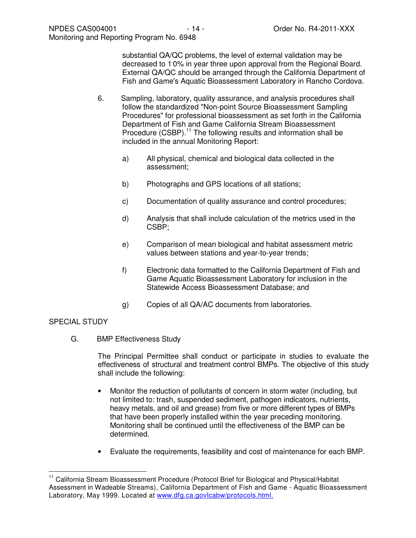substantial QA/QC problems, the level of external validation may be decreased to 1. 0% in year three upon approval from the Regional Board. External QA/QC should be arranged through the California Department of Fish and Game's Aquatic Bioassessment Laboratory in Rancho Cordova.

- 6. Sampling, laboratory, quality assurance, and analysis procedures shall follow the standardized "Non-point Source Bioassessment Sampling Procedures" for professional bioassessment as set forth in the California Department of Fish and Game California Stream Bioassessment Procedure (CSBP).<sup>11</sup> The following results and information shall be included in the annual Monitoring Report:
	- a) All physical, chemical and biological data collected in the assessment;
	- b) Photographs and GPS locations of all stations;
	- c) Documentation of quality assurance and control procedures;
	- d) Analysis that shall include calculation of the metrics used in the CSBP;
	- e) Comparison of mean biological and habitat assessment metric values between stations and year-to-year trends;
	- f) Electronic data formatted to the California Department of Fish and Game Aquatic Bioassessment Laboratory for inclusion in the Statewide Access Bioassessment Database; and
	- g) Copies of all QA/AC documents from laboratories.

# SPECIAL STUDY

 $\overline{a}$ 

G. BMP Effectiveness Study

The Principal Permittee shall conduct or participate in studies to evaluate the effectiveness of structural and treatment control BMPs. The objective of this study shall include the following:

- Monitor the reduction of pollutants of concern in storm water (including, but not limited to: trash, suspended sediment, pathogen indicators, nutrients, heavy metals, and oil and grease) from five or more different types of BMPs that have been properly installed within the year preceding monitoring. Monitoring shall be continued until the effectiveness of the BMP can be determined.
- Evaluate the requirements, feasibility and cost of maintenance for each BMP.

<sup>&</sup>lt;sup>11</sup> California Stream Bioassessment Procedure (Protocol Brief for Biological and Physical/Habitat Assessment in Wadeable Streams), California Department of Fish and Game - Aquatic Bioassessment Laboratory, May 1999. Located at www.dfg.ca.govIcabw/protocols.html.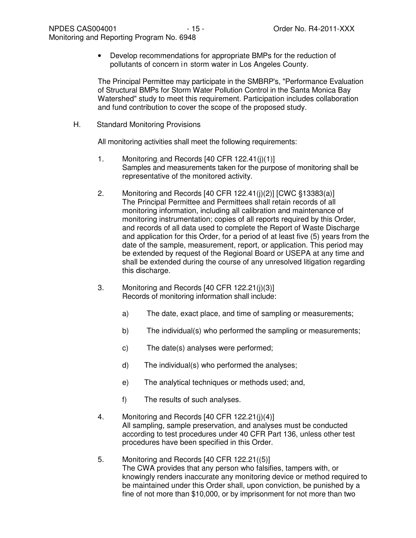• Develop recommendations for appropriate BMPs for the reduction of pollutants of concern in storm water in Los Angeles County.

The Principal Permittee may participate in the SMBRP's, "Performance Evaluation of Structural BMPs for Storm Water Pollution Control in the Santa Monica Bay Watershed" study to meet this requirement. Participation includes collaboration and fund contribution to cover the scope of the proposed study.

H. Standard Monitoring Provisions

All monitoring activities shall meet the following requirements:

- 1. Monitoring: and Records [40 CFR 122.41(j)(1)] Samples and measurements taken for the purpose of monitoring shall be representative of the monitored activity.
- 2. Monitoring and Records [40 CFR 122.41(j)(2)] [CWC §13383(a)] The Principal Permittee and Permittees shall retain records of all monitoring information, including all calibration and maintenance of monitoring instrumentation; copies of all reports required by this Order, and records of all data used to complete the Report of Waste Discharge and application for this Order, for a period of at least five (5) years from the date of the sample, measurement, report, or application. This period may be extended by request of the Regional Board or USEPA at any time and shall be extended during the course of any unresolved litigation regarding this discharge.
- 3. Monitoring and Records [40 CFR 122.21(j)(3)] Records of monitoring information shall include:
	- a) The date, exact place, and time of sampling or measurements;
	- b) The individual(s) who performed the sampling or measurements;
	- c) The date(s) analyses were performed;
	- d) The individual(s) who performed the analyses;
	- e) The analytical techniques or methods used; and,
	- f) The results of such analyses.
- 4. Monitoring and Records [40 CFR 122.21(j)(4)] All sampling, sample preservation, and analyses must be conducted according to test procedures under 40 CFR Part 136, unless other test procedures have been specified in this Order.
- 5. Monitoring and Records [40 CFR 122.21((5)] The CWA provides that any person who falsifies, tampers with, or knowingly renders inaccurate any monitoring device or method required to be maintained under this Order shall, upon conviction, be punished by a fine of not more than \$10,000, or by imprisonment for not more than two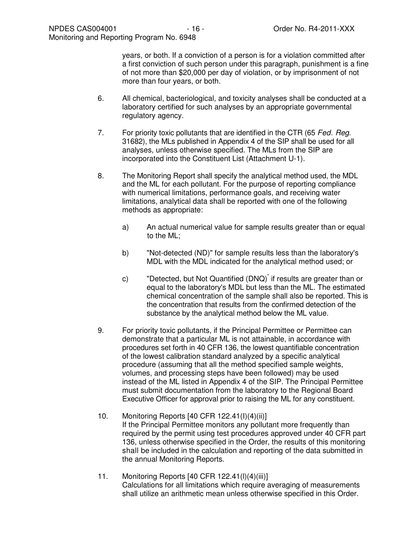years, or both. If a conviction of a person is for a violation committed after a first conviction of such person under this paragraph, punishment is a fine of not more than \$20,000 per day of violation, or by imprisonment of not more than four years, or both.

- 6. All chemical, bacteriological, and toxicity analyses shall be conducted at a laboratory certified for such analyses by an appropriate governmental regulatory agency.
- 7. For priority toxic pollutants that are identified in the CTR (65 Fed. Reg. 31682), the MLs published in Appendix 4 of the SIP shall be used for all analyses, unless otherwise specified. The MLs from the SIP are incorporated into the Constituent List (Attachment U-1).
- 8. The Monitoring Report shall specify the analytical method used, the MDL and the ML for each pollutant. For the purpose of reporting compliance with numerical limitations, performance goals, and receiving water limitations, analytical data shall be reported with one of the following methods as appropriate:
	- a) An actual numerical value for sample results greater than or equal to the ML;
	- b) "Not-detected (ND)" for sample results less than the laboratory's MDL with the MDL indicated for the analytical method used; or
	- c) "Detected, but Not Quantified (DNQ)" if results are greater than or equal to the laboratory's MDL but less than the ML. The estimated chemical concentration of the sample shall also be reported. This is the concentration that results from the confirmed detection of the substance by the analytical method below the ML value.
- 9. For priority toxic pollutants, if the Principal Permittee or Permittee can demonstrate that a particular ML is not attainable, in accordance with procedures set forth in 40 CFR 136, the lowest quantifiable concentration of the lowest calibration standard analyzed by a specific analytical procedure (assuming that all the method specified sample weights, volumes, and processing steps have been followed) may be used instead of the ML listed in Appendix 4 of the SIP. The Principal Permittee must submit documentation from the laboratory to the Regional Board Executive Officer for approval prior to raising the ML for any constituent.
- 10. Monitoring Reports [40 CFR 122.41(I)(4)(ii)] If the Principal Permittee monitors any pollutant more frequently than required by the permit using test procedures approved under 40 CFR part 136, unless otherwise specified in the Order, the results of this monitoring shall be included in the calculation and reporting of the data submitted in the annual Monitoring Reports.
- 11. Monitoring Reports [40 CFR 122.41(l)(4)(iii)] Calculations for all limitations which require averaging of measurements shall utilize an arithmetic mean unless otherwise specified in this Order.